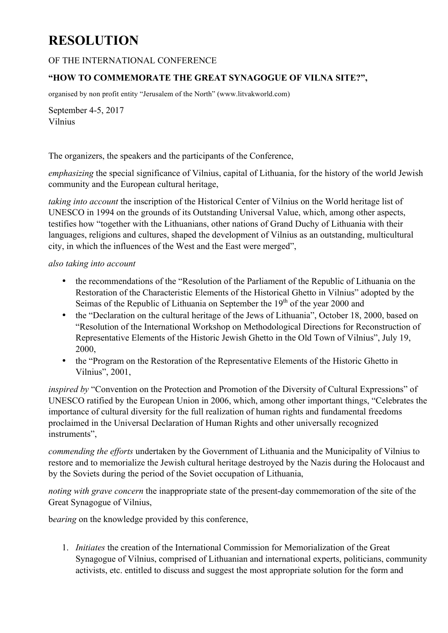## **RESOLUTION**

## OF THE INTERNATIONAL CONFERENCE

## **"HOW TO COMMEMORATE THE GREAT SYNAGOGUE OF VILNA SITE?",**

organised by non profit entity "Jerusalem of the North" (www.litvakworld.com)

September 4-5, 2017 Vilnius

The organizers, the speakers and the participants of the Conference,

*emphasizing* the special significance of Vilnius, capital of Lithuania, for the history of the world Jewish community and the European cultural heritage,

*taking into account* the inscription of the Historical Center of Vilnius on the World heritage list of UNESCO in 1994 on the grounds of its Outstanding Universal Value, which, among other aspects, testifies how "together with the Lithuanians, other nations of Grand Duchy of Lithuania with their languages, religions and cultures, shaped the development of Vilnius as an outstanding, multicultural city, in which the influences of the West and the East were merged",

## *also taking into account*

- the recommendations of the "Resolution of the Parliament of the Republic of Lithuania on the Restoration of the Characteristic Elements of the Historical Ghetto in Vilnius" adopted by the Seimas of the Republic of Lithuania on September the  $19<sup>th</sup>$  of the year 2000 and
- the "Declaration on the cultural heritage of the Jews of Lithuania", October 18, 2000, based on "Resolution of the International Workshop on Methodological Directions for Reconstruction of Representative Elements of the Historic Jewish Ghetto in the Old Town of Vilnius", July 19, 2000,
- the "Program on the Restoration of the Representative Elements of the Historic Ghetto in Vilnius", 2001,

*inspired by* "Convention on the Protection and Promotion of the Diversity of Cultural Expressions" of UNESCO ratified by the European Union in 2006, which, among other important things, "Celebrates the importance of cultural diversity for the full realization of human rights and fundamental freedoms proclaimed in the Universal Declaration of Human Rights and other universally recognized instruments",

*commending the efforts* undertaken by the Government of Lithuania and the Municipality of Vilnius to restore and to memorialize the Jewish cultural heritage destroyed by the Nazis during the Holocaust and by the Soviets during the period of the Soviet occupation of Lithuania,

*noting with grave concern* the inappropriate state of the present-day commemoration of the site of the Great Synagogue of Vilnius,

b*earing* on the knowledge provided by this conference,

1. *Initiates* the creation of the International Commission for Memorialization of the Great Synagogue of Vilnius, comprised of Lithuanian and international experts, politicians, community activists, etc. entitled to discuss and suggest the most appropriate solution for the form and